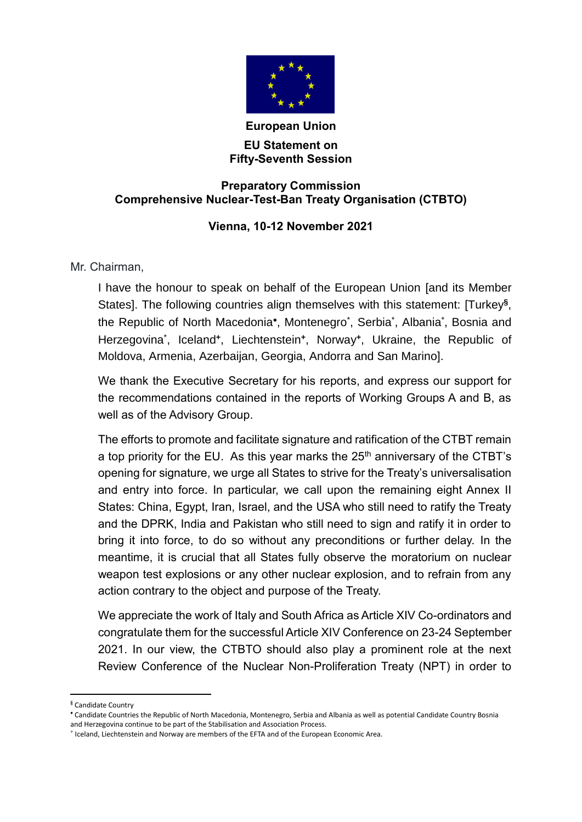

## **European Union EU Statement on Fifty-Seventh Session**

## **Preparatory Commission Comprehensive Nuclear-Test-Ban Treaty Organisation (CTBTO)**

## **Vienna, 10-12 November 2021**

Mr. Chairman,

I have the honour to speak on behalf of the European Union [and its Member States]. The following countries align themselves with this statement: [Turkey**§** , the Republic of North Macedonia\*, Montenegro\*, Serbia\*, Albania\*, Bosnia and Herzegovina\* , Iceland**<sup>+</sup>** , Liechtenstein**<sup>+</sup>** , Norway**<sup>+</sup>** , Ukraine, the Republic of Moldova, Armenia, Azerbaijan, Georgia, Andorra and San Marino].

We thank the Executive Secretary for his reports, and express our support for the recommendations contained in the reports of Working Groups A and B, as well as of the Advisory Group.

The efforts to promote and facilitate signature and ratification of the CTBT remain a top priority for the EU. As this year marks the  $25<sup>th</sup>$  anniversary of the CTBT's opening for signature, we urge all States to strive for the Treaty's universalisation and entry into force. In particular, we call upon the remaining eight Annex II States: China, Egypt, Iran, Israel, and the USA who still need to ratify the Treaty and the DPRK, India and Pakistan who still need to sign and ratify it in order to bring it into force, to do so without any preconditions or further delay. In the meantime, it is crucial that all States fully observe the moratorium on nuclear weapon test explosions or any other nuclear explosion, and to refrain from any action contrary to the object and purpose of the Treaty.

We appreciate the work of Italy and South Africa as Article XIV Co-ordinators and congratulate them for the successful Article XIV Conference on 23-24 September 2021. In our view, the CTBTO should also play a prominent role at the next Review Conference of the Nuclear Non-Proliferation Treaty (NPT) in order to

-

**<sup>§</sup>** Candidate Country

Candidate Countries the Republic of North Macedonia, Montenegro, Serbia and Albania as well as potential Candidate Country Bosnia and Herzegovina continue to be part of the Stabilisation and Association Process.

**<sup>+</sup>** Iceland, Liechtenstein and Norway are members of the EFTA and of the European Economic Area.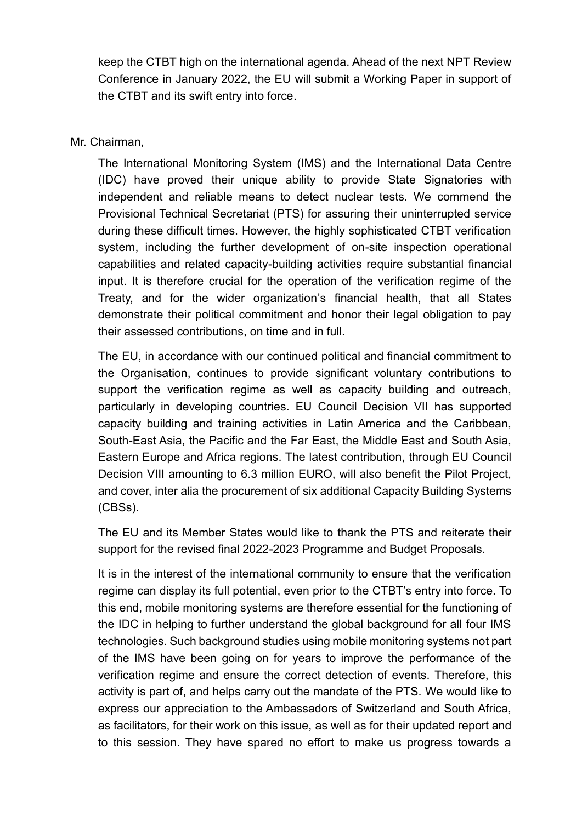keep the CTBT high on the international agenda. Ahead of the next NPT Review Conference in January 2022, the EU will submit a Working Paper in support of the CTBT and its swift entry into force.

## Mr. Chairman,

The International Monitoring System (IMS) and the International Data Centre (IDC) have proved their unique ability to provide State Signatories with independent and reliable means to detect nuclear tests. We commend the Provisional Technical Secretariat (PTS) for assuring their uninterrupted service during these difficult times. However, the highly sophisticated CTBT verification system, including the further development of on-site inspection operational capabilities and related capacity-building activities require substantial financial input. It is therefore crucial for the operation of the verification regime of the Treaty, and for the wider organization's financial health, that all States demonstrate their political commitment and honor their legal obligation to pay their assessed contributions, on time and in full.

The EU, in accordance with our continued political and financial commitment to the Organisation, continues to provide significant voluntary contributions to support the verification regime as well as capacity building and outreach, particularly in developing countries. EU Council Decision VII has supported capacity building and training activities in Latin America and the Caribbean, South-East Asia, the Pacific and the Far East, the Middle East and South Asia, Eastern Europe and Africa regions. The latest contribution, through EU Council Decision VIII amounting to 6.3 million EURO, will also benefit the Pilot Project, and cover, inter alia the procurement of six additional Capacity Building Systems (CBSs).

The EU and its Member States would like to thank the PTS and reiterate their support for the revised final 2022-2023 Programme and Budget Proposals.

It is in the interest of the international community to ensure that the verification regime can display its full potential, even prior to the CTBT's entry into force. To this end, mobile monitoring systems are therefore essential for the functioning of the IDC in helping to further understand the global background for all four IMS technologies. Such background studies using mobile monitoring systems not part of the IMS have been going on for years to improve the performance of the verification regime and ensure the correct detection of events. Therefore, this activity is part of, and helps carry out the mandate of the PTS. We would like to express our appreciation to the Ambassadors of Switzerland and South Africa, as facilitators, for their work on this issue, as well as for their updated report and to this session. They have spared no effort to make us progress towards a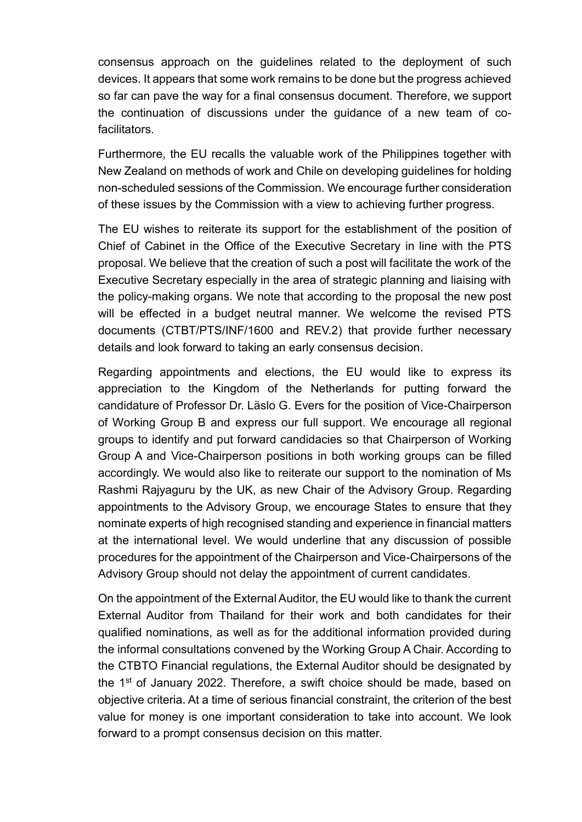consensus approach on the guidelines related to the deployment of such devices. It appears that some work remains to be done but the progress achieved so far can pave the way for a final consensus document. Therefore, we support the continuation of discussions under the guidance of a new team of cofacilitators.

Furthermore, the EU recalls the valuable work of the Philippines together with New Zealand on methods of work and Chile on developing guidelines for holding non-scheduled sessions of the Commission. We encourage further consideration of these issues by the Commission with a view to achieving further progress.

The EU wishes to reiterate its support for the establishment of the position of Chief of Cabinet in the Office of the Executive Secretary in line with the PTS proposal. We believe that the creation of such a post will facilitate the work of the Executive Secretary especially in the area of strategic planning and liaising with the policy-making organs. We note that according to the proposal the new post will be effected in a budget neutral manner. We welcome the revised PTS documents (CTBT/PTS/INF/1600 and REV.2) that provide further necessary details and look forward to taking an early consensus decision.

Regarding appointments and elections, the EU would like to express its appreciation to the Kingdom of the Netherlands for putting forward the candidature of Professor Dr. Läslo G. Evers for the position of Vice-Chairperson of Working Group B and express our full support. We encourage all regional groups to identify and put forward candidacies so that Chairperson of Working Group A and Vice-Chairperson positions in both working groups can be filled accordingly. We would also like to reiterate our support to the nomination of Ms Rashmi Rajyaguru by the UK, as new Chair of the Advisory Group. Regarding appointments to the Advisory Group, we encourage States to ensure that they nominate experts of high recognised standing and experience in financial matters at the international level. We would underline that any discussion of possible procedures for the appointment of the Chairperson and Vice-Chairpersons of the Advisory Group should not delay the appointment of current candidates.

On the appointment of the External Auditor, the EU would like to thank the current External Auditor from Thailand for their work and both candidates for their qualified nominations, as well as for the additional information provided during the informal consultations convened by the Working Group A Chair. According to the CTBTO Financial regulations, the External Auditor should be designated by the 1<sup>st</sup> of January 2022. Therefore, a swift choice should be made, based on objective criteria. At a time of serious financial constraint, the criterion of the best value for money is one important consideration to take into account. We look forward to a prompt consensus decision on this matter.